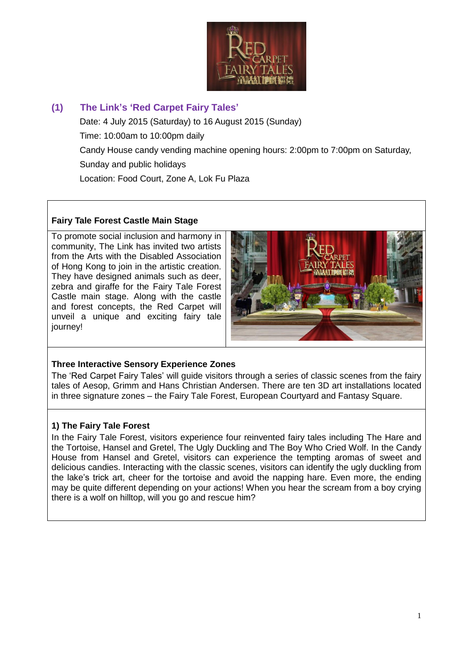

# **(1) The Link's 'Red Carpet Fairy Tales'** Date: 4 July 2015 (Saturday) to 16 August 2015 (Sunday) Time: 10:00am to 10:00pm daily Candy House candy vending machine opening hours: 2:00pm to 7:00pm on Saturday, Sunday and public holidays Location: Food Court, Zone A, Lok Fu Plaza

#### **Fairy Tale Forest Castle Main Stage**

To promote social inclusion and harmony in community, The Link has invited two artists from the Arts with the Disabled Association of Hong Kong to join in the artistic creation. They have designed animals such as deer, zebra and giraffe for the Fairy Tale Forest Castle main stage. Along with the castle and forest concepts, the Red Carpet will unveil a unique and exciting fairy tale journey!



#### **Three Interactive Sensory Experience Zones**

The 'Red Carpet Fairy Tales' will guide visitors through a series of classic scenes from the fairy tales of Aesop, Grimm and Hans Christian Andersen. There are ten 3D art installations located in three signature zones – the Fairy Tale Forest, European Courtyard and Fantasy Square.

#### **1) The Fairy Tale Forest**

In the Fairy Tale Forest, visitors experience four reinvented fairy tales including The Hare and the Tortoise, Hansel and Gretel, The Ugly Duckling and The Boy Who Cried Wolf. In the Candy House from Hansel and Gretel, visitors can experience the tempting aromas of sweet and delicious candies. Interacting with the classic scenes, visitors can identify the ugly duckling from the lake's trick art, cheer for the tortoise and avoid the napping hare. Even more, the ending may be quite different depending on your actions! When you hear the scream from a boy crying there is a wolf on hilltop, will you go and rescue him?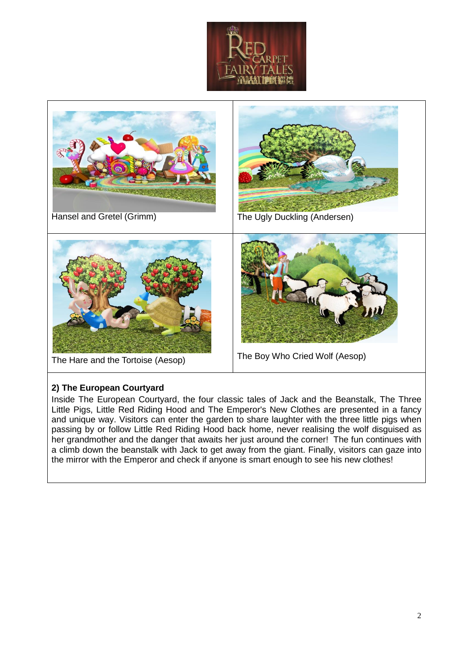



#### **2) The European Courtyard**

Inside The European Courtyard, the four classic tales of Jack and the Beanstalk, The Three Little Pigs, Little Red Riding Hood and The Emperor's New Clothes are presented in a fancy and unique way. Visitors can enter the garden to share laughter with the three little pigs when passing by or follow Little Red Riding Hood back home, never realising the wolf disguised as her grandmother and the danger that awaits her just around the corner! The fun continues with a climb down the beanstalk with Jack to get away from the giant. Finally, visitors can gaze into the mirror with the Emperor and check if anyone is smart enough to see his new clothes!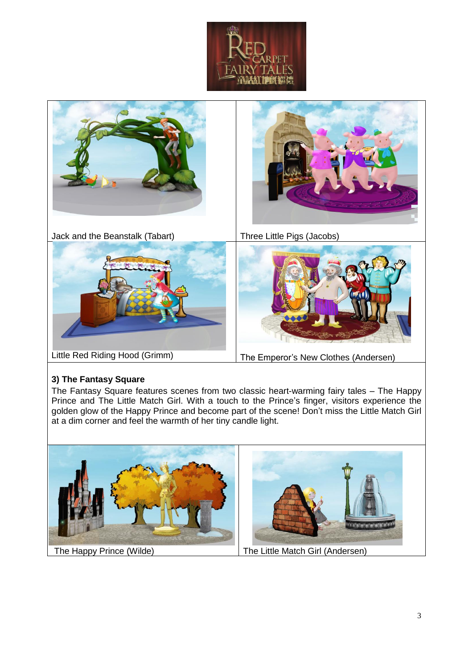



#### **3) The Fantasy Square**

The Fantasy Square features scenes from two classic heart-warming fairy tales – The Happy Prince and The Little Match Girl. With a touch to the Prince's finger, visitors experience the golden glow of the Happy Prince and become part of the scene! Don't miss the Little Match Girl at a dim corner and feel the warmth of her tiny candle light.

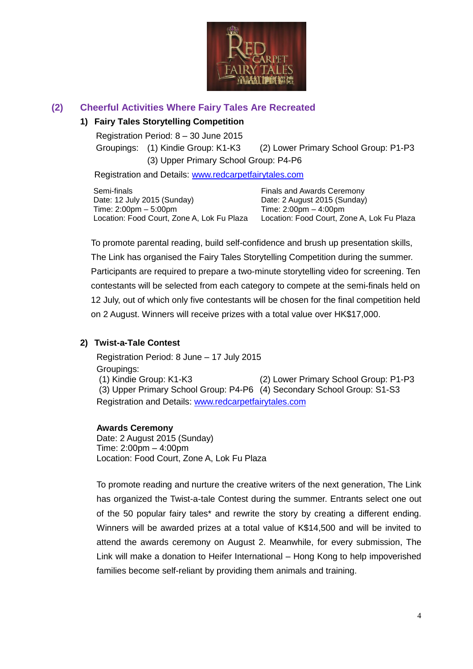

## **(2) Cheerful Activities Where Fairy Tales Are Recreated**

### **1) Fairy Tales Storytelling Competition**

Registration Period: 8 – 30 June 2015

 Groupings: (1) Kindie Group: K1-K3 (2) Lower Primary School Group: P1-P3 (3) Upper Primary School Group: P4-P6

Registration and Details: [www.redcarpetfairytales.com](http://www.redcarpetfairytales.com/)

Semi-finals Date: 12 July 2015 (Sunday) Time: 2:00pm – 5:00pm Location: Food Court, Zone A, Lok Fu Plaza

Finals and Awards Ceremony Date: 2 August 2015 (Sunday) Time: 2:00pm – 4:00pm Location: Food Court, Zone A, Lok Fu Plaza

To promote parental reading, build self-confidence and brush up presentation skills, The Link has organised the Fairy Tales Storytelling Competition during the summer. Participants are required to prepare a two-minute storytelling video for screening. Ten contestants will be selected from each category to compete at the semi-finals held on 12 July, out of which only five contestants will be chosen for the final competition held on 2 August. Winners will receive prizes with a total value over HK\$17,000.

#### **2) Twist-a-Tale Contest**

Registration Period: 8 June – 17 July 2015 Groupings: (1) Kindie Group: K1-K3 (2) Lower Primary School Group: P1-P3 (3) Upper Primary School Group: P4-P6 (4) Secondary School Group: S1-S3 Registration and Details: [www.redcarpetfairytales.com](http://www.redcarpetfairytales.com/)

#### **Awards Ceremony**

Date: 2 August 2015 (Sunday) Time: 2:00pm – 4:00pm Location: Food Court, Zone A, Lok Fu Plaza

To promote reading and nurture the creative writers of the next generation, The Link has organized the Twist-a-tale Contest during the summer. Entrants select one out of the 50 popular fairy tales\* and rewrite the story by creating a different ending. Winners will be awarded prizes at a total value of K\$14,500 and will be invited to attend the awards ceremony on August 2. Meanwhile, for every submission, The Link will make a donation to Heifer International – Hong Kong to help impoverished families become self-reliant by providing them animals and training.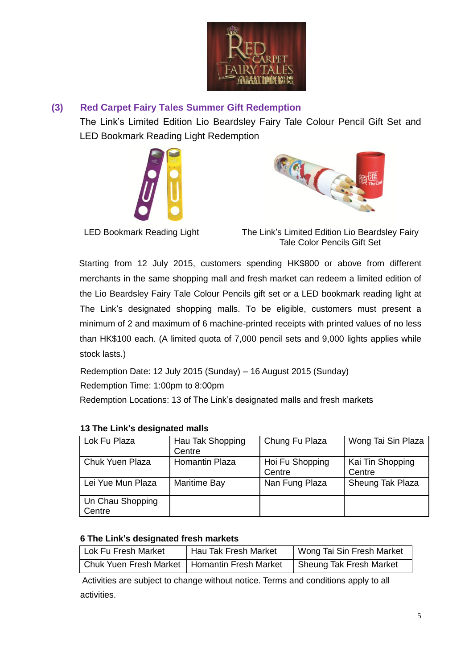

## **(3) Red Carpet Fairy Tales Summer Gift Redemption**

The Link's Limited Edition Lio Beardsley Fairy Tale Colour Pencil Gift Set and LED Bookmark Reading Light Redemption





LED Bookmark Reading Light The Link's Limited Edition Lio Beardsley Fairy Tale Color Pencils Gift Set

 Starting from 12 July 2015, customers spending HK\$800 or above from different merchants in the same shopping mall and fresh market can redeem a limited edition of the Lio Beardsley Fairy Tale Colour Pencils gift set or a LED bookmark reading light at The Link's designated shopping malls. To be eligible, customers must present a minimum of 2 and maximum of 6 machine-printed receipts with printed values of no less than HK\$100 each. (A limited quota of 7,000 pencil sets and 9,000 lights applies while stock lasts.)

Redemption Date: 12 July 2015 (Sunday) – 16 August 2015 (Sunday) Redemption Time: 1:00pm to 8:00pm

Redemption Locations: 13 of The Link's designated malls and fresh markets

| Lok Fu Plaza               | Hau Tak Shopping<br>Centre | Chung Fu Plaza            | Wong Tai Sin Plaza         |
|----------------------------|----------------------------|---------------------------|----------------------------|
| Chuk Yuen Plaza            | Homantin Plaza             | Hoi Fu Shopping<br>Centre | Kai Tin Shopping<br>Centre |
| Lei Yue Mun Plaza          | Maritime Bay               | Nan Fung Plaza            | Sheung Tak Plaza           |
| Un Chau Shopping<br>Centre |                            |                           |                            |

### **13 The Link's designated malls**

#### **6 The Link's designated fresh markets**

| Lok Fu Fresh Market                            | Hau Tak Fresh Market | Wong Tai Sin Fresh Market |
|------------------------------------------------|----------------------|---------------------------|
| Chuk Yuen Fresh Market   Homantin Fresh Market |                      | Sheung Tak Fresh Market   |

Activities are subject to change without notice. Terms and conditions apply to all activities.